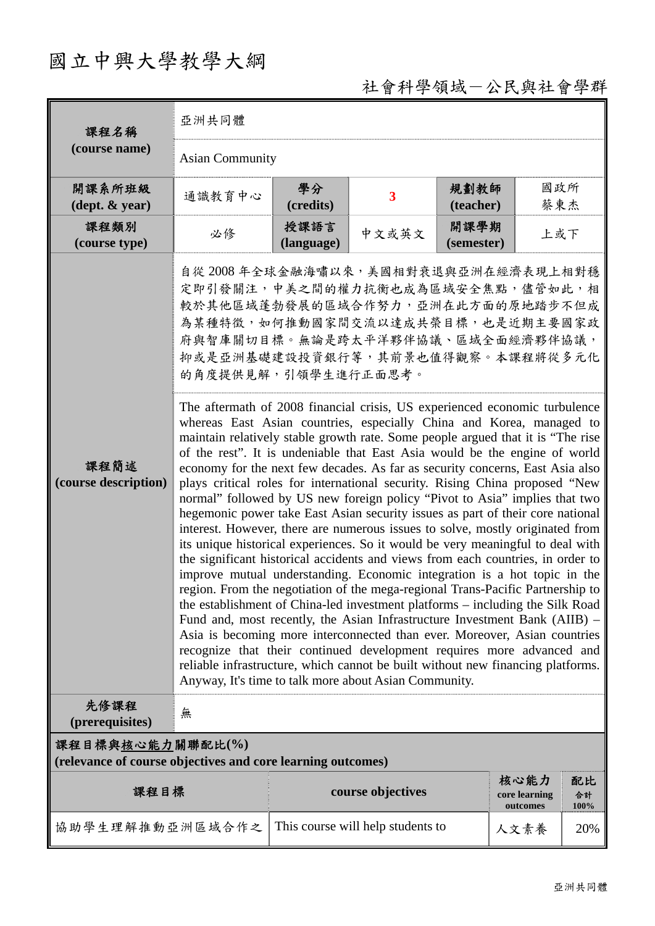## 國立中興大學教學大綱

## 社會科學領域-公民與社會學群

| 課程名稱<br>(course name)                                                           | 亞洲共同體                                                                                                                                                                                                                                                                                                                                                                                                                                                                                                                                                                                                                                                                                                                                                                                                                                                                                                                                                                                                                                                                                                                                                                                                                                                                                                                                                                                                                                                                                                                                                                                                                                                                                                                             |                    |                                   |                    |                                   |                  |  |  |  |
|---------------------------------------------------------------------------------|-----------------------------------------------------------------------------------------------------------------------------------------------------------------------------------------------------------------------------------------------------------------------------------------------------------------------------------------------------------------------------------------------------------------------------------------------------------------------------------------------------------------------------------------------------------------------------------------------------------------------------------------------------------------------------------------------------------------------------------------------------------------------------------------------------------------------------------------------------------------------------------------------------------------------------------------------------------------------------------------------------------------------------------------------------------------------------------------------------------------------------------------------------------------------------------------------------------------------------------------------------------------------------------------------------------------------------------------------------------------------------------------------------------------------------------------------------------------------------------------------------------------------------------------------------------------------------------------------------------------------------------------------------------------------------------------------------------------------------------|--------------------|-----------------------------------|--------------------|-----------------------------------|------------------|--|--|--|
|                                                                                 | <b>Asian Community</b>                                                                                                                                                                                                                                                                                                                                                                                                                                                                                                                                                                                                                                                                                                                                                                                                                                                                                                                                                                                                                                                                                                                                                                                                                                                                                                                                                                                                                                                                                                                                                                                                                                                                                                            |                    |                                   |                    |                                   |                  |  |  |  |
| 開課系所班級<br>$(\text{dept.} \& \text{ year})$                                      | 通識教育中心                                                                                                                                                                                                                                                                                                                                                                                                                                                                                                                                                                                                                                                                                                                                                                                                                                                                                                                                                                                                                                                                                                                                                                                                                                                                                                                                                                                                                                                                                                                                                                                                                                                                                                                            | 學分<br>(credits)    | $\overline{\mathbf{3}}$           | 規劃教師<br>(teacher)  | 國政所<br>蔡東杰                        |                  |  |  |  |
| 課程類別<br>(course type)                                                           | 必修                                                                                                                                                                                                                                                                                                                                                                                                                                                                                                                                                                                                                                                                                                                                                                                                                                                                                                                                                                                                                                                                                                                                                                                                                                                                                                                                                                                                                                                                                                                                                                                                                                                                                                                                | 授課語言<br>(language) | 中文或英文                             | 開課學期<br>(semester) | 上或下                               |                  |  |  |  |
| 課程簡述<br>(course description)                                                    | 自從 2008年全球金融海嘯以來,美國相對衰退與亞洲在經濟表現上相對穩<br>定即引發關注,中美之間的權力抗衡也成為區域安全焦點,儘管如此,相<br>較於其他區域蓬勃發展的區域合作努力,亞洲在此方面的原地踏步不但成<br>為某種特徵,如何推動國家間交流以達成共榮目標,也是近期主要國家政<br>府與智庫關切目標。無論是跨太平洋夥伴協議、區域全面經濟夥伴協議,<br>抑或是亞洲基礎建設投資銀行等,其前景也值得觀察。本課程將從多元化<br>的角度提供見解,引領學生進行正面思考。<br>The aftermath of 2008 financial crisis, US experienced economic turbulence<br>whereas East Asian countries, especially China and Korea, managed to<br>maintain relatively stable growth rate. Some people argued that it is "The rise<br>of the rest". It is undeniable that East Asia would be the engine of world<br>economy for the next few decades. As far as security concerns, East Asia also<br>plays critical roles for international security. Rising China proposed "New<br>normal" followed by US new foreign policy "Pivot to Asia" implies that two<br>hegemonic power take East Asian security issues as part of their core national<br>interest. However, there are numerous issues to solve, mostly originated from<br>its unique historical experiences. So it would be very meaningful to deal with<br>the significant historical accidents and views from each countries, in order to<br>improve mutual understanding. Economic integration is a hot topic in the<br>region. From the negotiation of the mega-regional Trans-Pacific Partnership to<br>the establishment of China-led investment platforms – including the Silk Road<br>Fund and, most recently, the Asian Infrastructure Investment Bank (AIIB) –<br>Asia is becoming more interconnected than ever. Moreover, Asian countries<br>recognize that their continued development requires more advanced and<br>reliable infrastructure, which cannot be built without new financing platforms. |                    |                                   |                    |                                   |                  |  |  |  |
| 先修課程<br>(prerequisites)                                                         | 無                                                                                                                                                                                                                                                                                                                                                                                                                                                                                                                                                                                                                                                                                                                                                                                                                                                                                                                                                                                                                                                                                                                                                                                                                                                                                                                                                                                                                                                                                                                                                                                                                                                                                                                                 |                    |                                   |                    |                                   |                  |  |  |  |
| 課程目標與核心能力關聯配比(%)<br>(relevance of course objectives and core learning outcomes) |                                                                                                                                                                                                                                                                                                                                                                                                                                                                                                                                                                                                                                                                                                                                                                                                                                                                                                                                                                                                                                                                                                                                                                                                                                                                                                                                                                                                                                                                                                                                                                                                                                                                                                                                   |                    |                                   |                    |                                   |                  |  |  |  |
| 課程目標                                                                            |                                                                                                                                                                                                                                                                                                                                                                                                                                                                                                                                                                                                                                                                                                                                                                                                                                                                                                                                                                                                                                                                                                                                                                                                                                                                                                                                                                                                                                                                                                                                                                                                                                                                                                                                   |                    | course objectives                 |                    | 核心能力<br>core learning<br>outcomes | 配比<br>合計<br>100% |  |  |  |
| 協助學生理解推動亞洲區域合作之                                                                 |                                                                                                                                                                                                                                                                                                                                                                                                                                                                                                                                                                                                                                                                                                                                                                                                                                                                                                                                                                                                                                                                                                                                                                                                                                                                                                                                                                                                                                                                                                                                                                                                                                                                                                                                   |                    | This course will help students to |                    | 人文素養                              | 20%              |  |  |  |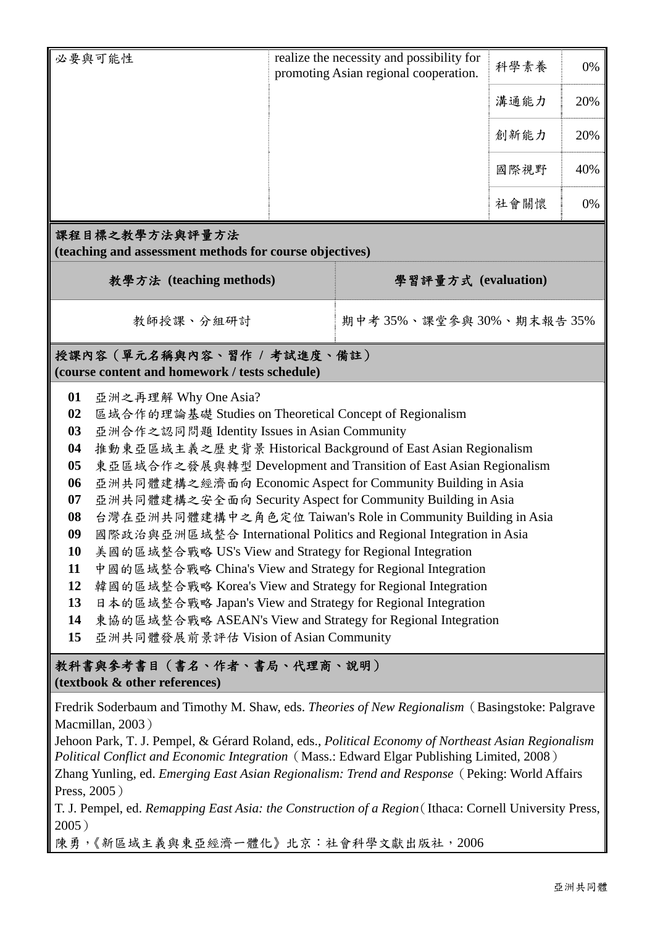|                                                                                                                                                                                                                                                                                                                                                                                                                                                                                                                                                                                                                                                                                                                                                                                                                                                                                                                                                                                                                        | 必要與可能性                                                                                                                                                                                                                                                                                                                                                                                                                  |                     | realize the necessity and possibility for<br>promoting Asian regional cooperation. | 科學素養 | 0%  |  |  |  |  |  |
|------------------------------------------------------------------------------------------------------------------------------------------------------------------------------------------------------------------------------------------------------------------------------------------------------------------------------------------------------------------------------------------------------------------------------------------------------------------------------------------------------------------------------------------------------------------------------------------------------------------------------------------------------------------------------------------------------------------------------------------------------------------------------------------------------------------------------------------------------------------------------------------------------------------------------------------------------------------------------------------------------------------------|-------------------------------------------------------------------------------------------------------------------------------------------------------------------------------------------------------------------------------------------------------------------------------------------------------------------------------------------------------------------------------------------------------------------------|---------------------|------------------------------------------------------------------------------------|------|-----|--|--|--|--|--|
|                                                                                                                                                                                                                                                                                                                                                                                                                                                                                                                                                                                                                                                                                                                                                                                                                                                                                                                                                                                                                        |                                                                                                                                                                                                                                                                                                                                                                                                                         |                     |                                                                                    | 溝通能力 | 20% |  |  |  |  |  |
|                                                                                                                                                                                                                                                                                                                                                                                                                                                                                                                                                                                                                                                                                                                                                                                                                                                                                                                                                                                                                        |                                                                                                                                                                                                                                                                                                                                                                                                                         |                     |                                                                                    | 創新能力 | 20% |  |  |  |  |  |
|                                                                                                                                                                                                                                                                                                                                                                                                                                                                                                                                                                                                                                                                                                                                                                                                                                                                                                                                                                                                                        |                                                                                                                                                                                                                                                                                                                                                                                                                         |                     |                                                                                    | 國際視野 | 40% |  |  |  |  |  |
|                                                                                                                                                                                                                                                                                                                                                                                                                                                                                                                                                                                                                                                                                                                                                                                                                                                                                                                                                                                                                        |                                                                                                                                                                                                                                                                                                                                                                                                                         |                     |                                                                                    | 社會關懷 | 0%  |  |  |  |  |  |
|                                                                                                                                                                                                                                                                                                                                                                                                                                                                                                                                                                                                                                                                                                                                                                                                                                                                                                                                                                                                                        | 課程目標之教學方法與評量方法<br>(teaching and assessment methods for course objectives)                                                                                                                                                                                                                                                                                                                                               |                     |                                                                                    |      |     |  |  |  |  |  |
| 教學方法 (teaching methods)                                                                                                                                                                                                                                                                                                                                                                                                                                                                                                                                                                                                                                                                                                                                                                                                                                                                                                                                                                                                |                                                                                                                                                                                                                                                                                                                                                                                                                         | 學習評量方式 (evaluation) |                                                                                    |      |     |  |  |  |  |  |
| 教師授課、分組研討                                                                                                                                                                                                                                                                                                                                                                                                                                                                                                                                                                                                                                                                                                                                                                                                                                                                                                                                                                                                              |                                                                                                                                                                                                                                                                                                                                                                                                                         |                     | 期中考35%、課堂參與30%、期末報告35%                                                             |      |     |  |  |  |  |  |
| 授課內容(單元名稱與內容、習作 / 考試進度、備註)<br>(course content and homework / tests schedule)                                                                                                                                                                                                                                                                                                                                                                                                                                                                                                                                                                                                                                                                                                                                                                                                                                                                                                                                           |                                                                                                                                                                                                                                                                                                                                                                                                                         |                     |                                                                                    |      |     |  |  |  |  |  |
| 01<br>亞洲之再理解 Why One Asia?<br>區域合作的理論基礎 Studies on Theoretical Concept of Regionalism<br>02<br>亞洲合作之認同問題 Identity Issues in Asian Community<br>03<br>推動東亞區域主義之歷史背景 Historical Background of East Asian Regionalism<br>04<br>東亞區域合作之發展與轉型 Development and Transition of East Asian Regionalism<br>0 <sub>5</sub><br>亞洲共同體建構之經濟面向 Economic Aspect for Community Building in Asia<br>06<br>亞洲共同體建構之安全面向 Security Aspect for Community Building in Asia<br>07<br>台灣在亞洲共同體建構中之角色定位 Taiwan's Role in Community Building in Asia<br>08<br>國際政治與亞洲區域整合 International Politics and Regional Integration in Asia<br>09<br>美國的區域整合戰略 US's View and Strategy for Regional Integration<br>10<br>中國的區域整合戰略 China's View and Strategy for Regional Integration<br>11<br>韓國的區域整合戰略 Korea's View and Strategy for Regional Integration<br>12<br>日本的區域整合戰略 Japan's View and Strategy for Regional Integration<br>13<br>東協的區域整合戰略 ASEAN's View and Strategy for Regional Integration<br>14<br>15<br>亞洲共同體發展前景評估 Vision of Asian Community |                                                                                                                                                                                                                                                                                                                                                                                                                         |                     |                                                                                    |      |     |  |  |  |  |  |
| 教科書與參考書目(書名、作者、書局、代理商、說明)<br>(textbook & other references)                                                                                                                                                                                                                                                                                                                                                                                                                                                                                                                                                                                                                                                                                                                                                                                                                                                                                                                                                             |                                                                                                                                                                                                                                                                                                                                                                                                                         |                     |                                                                                    |      |     |  |  |  |  |  |
|                                                                                                                                                                                                                                                                                                                                                                                                                                                                                                                                                                                                                                                                                                                                                                                                                                                                                                                                                                                                                        | Fredrik Soderbaum and Timothy M. Shaw, eds. Theories of New Regionalism (Basingstoke: Palgrave<br>Macmillan, 2003)<br>Jehoon Park, T. J. Pempel, & Gérard Roland, eds., Political Economy of Northeast Asian Regionalism<br>Political Conflict and Economic Integration (Mass.: Edward Elgar Publishing Limited, 2008)<br>Zhang Yunling, ed. Emerging East Asian Regionalism: Trend and Response (Peking: World Affairs |                     |                                                                                    |      |     |  |  |  |  |  |

Press, 2005)

T. J. Pempel, ed. *Remapping East Asia: the Construction of a Region*(Ithaca: Cornell University Press, 2005)

陳勇,《新區域主義與東亞經濟一體化》北京:社會科學文獻出版社,2006